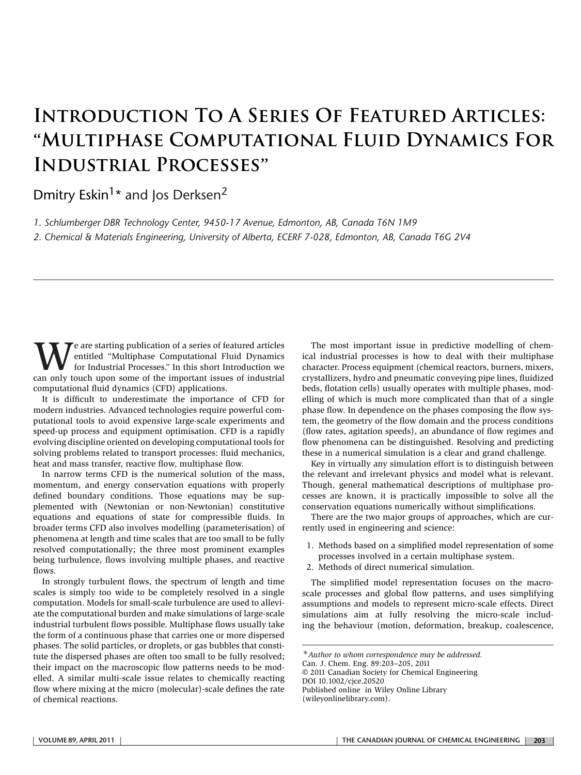## **Introduction To A Series Of Featured Articles:** "**Multiphase Computational Fluid Dynamics For Industrial Processes**"

Dmitry Eskin<sup>1\*</sup> and Jos Derksen<sup>2</sup>

*1. Schlumberger DBR Technology Center, 9450-17 Avenue, Edmonton, AB, Canada T6N 1M9 2. Chemical & Materials Engineering, University of Alberta, ECERF 7-028, Edmonton, AB, Canada T6G 2V4*

We are starting publication of a series of featured articles<br>for Industrial Processes." In this short Introduction we<br>can only touch upon some of the important issues of industrial entitled "Multiphase Computational Fluid Dynamics can only touch upon some of the important issues of industrial computational fluid dynamics (CFD) applications.

It is difficult to underestimate the importance of CFD for modern industries. Advanced technologies require powerful computational tools to avoid expensive large-scale experiments and speed-up process and equipment optimisation. CFD is a rapidly evolving discipline oriented on developing computational tools for solving problems related to transport processes: fluid mechanics, heat and mass transfer, reactive flow, multiphase flow.

In narrow terms CFD is the numerical solution of the mass, momentum, and energy conservation equations with properly defined boundary conditions. Those equations may be supplemented with (Newtonian or non-Newtonian) constitutive equations and equations of state for compressible fluids. In broader terms CFD also involves modelling (parameterisation) of phenomena at length and time scales that are too small to be fully resolved computationally; the three most prominent examples being turbulence, flows involving multiple phases, and reactive flows.

In strongly turbulent flows, the spectrum of length and time scales is simply too wide to be completely resolved in a single computation. Models for small-scale turbulence are used to alleviate the computational burden and make simulations of large-scale industrial turbulent flows possible. Multiphase flows usually take the form of a continuous phase that carries one or more dispersed phases. The solid particles, or droplets, or gas bubbles that constitute the dispersed phases are often too small to be fully resolved; their impact on the macroscopic flow patterns needs to be modelled. A similar multi-scale issue relates to chemically reacting flow where mixing at the micro (molecular)-scale defines the rate of chemical reactions.

The most important issue in predictive modelling of chemical industrial processes is how to deal with their multiphase character. Process equipment (chemical reactors, burners, mixers, crystallizers, hydro and pneumatic conveying pipe lines, fluidized beds, flotation cells) usually operates with multiple phases, modelling of which is much more complicated than that of a single phase flow. In dependence on the phases composing the flow system, the geometry of the flow domain and the process conditions (flow rates, agitation speeds), an abundance of flow regimes and flow phenomena can be distinguished. Resolving and predicting these in a numerical simulation is a clear and grand challenge.

Key in virtually any simulation effort is to distinguish between the relevant and irrelevant physics and model what is relevant. Though, general mathematical descriptions of multiphase processes are known, it is practically impossible to solve all the conservation equations numerically without simplifications.

There are the two major groups of approaches, which are currently used in engineering and science:

- 1. Methods based on a simplified model representation of some processes involved in a certain multiphase system.
- 2. Methods of direct numerical simulation.

The simplified model representation focuses on the macroscale processes and global flow patterns, and uses simplifying assumptions and models to represent micro-scale effects. Direct simulations aim at fully resolving the micro-scale including the behaviour (motion, deformation, breakup, coalescence,

Can. J. Chem. Eng. 89:203–205, 2011

© 2011 Canadian Society for Chemical Engineering DOI 10.1002/cjce.20520

Published online in Wiley Online Library

(wileyonlinelibrary.com).

<sup>∗</sup>*Author to whom correspondence may be addressed.*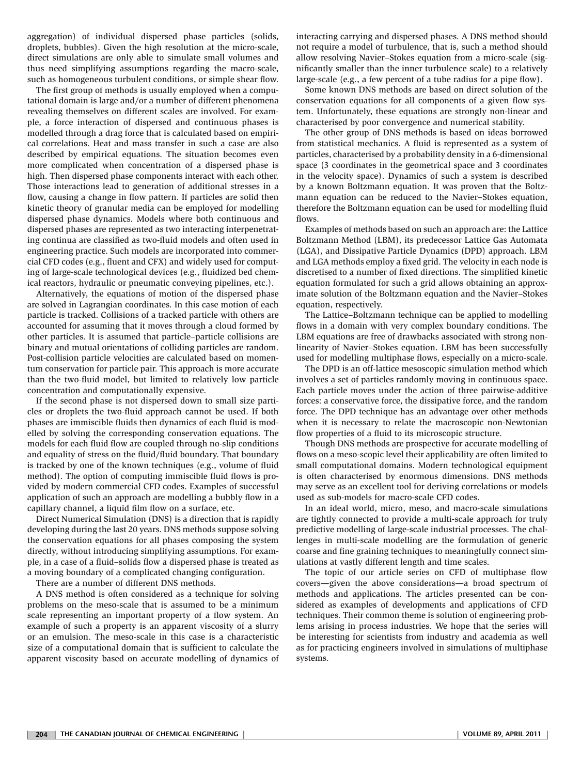aggregation) of individual dispersed phase particles (solids, droplets, bubbles). Given the high resolution at the micro-scale, direct simulations are only able to simulate small volumes and thus need simplifying assumptions regarding the macro-scale, such as homogeneous turbulent conditions, or simple shear flow.

The first group of methods is usually employed when a computational domain is large and/or a number of different phenomena revealing themselves on different scales are involved. For example, a force interaction of dispersed and continuous phases is modelled through a drag force that is calculated based on empirical correlations. Heat and mass transfer in such a case are also described by empirical equations. The situation becomes even more complicated when concentration of a dispersed phase is high. Then dispersed phase components interact with each other. Those interactions lead to generation of additional stresses in a flow, causing a change in flow pattern. If particles are solid then kinetic theory of granular media can be employed for modelling dispersed phase dynamics. Models where both continuous and dispersed phases are represented as two interacting interpenetrating continua are classified as two-fluid models and often used in engineering practice. Such models are incorporated into commercial CFD codes (e.g., fluent and CFX) and widely used for computing of large-scale technological devices (e.g., fluidized bed chemical reactors, hydraulic or pneumatic conveying pipelines, etc.).

Alternatively, the equations of motion of the dispersed phase are solved in Lagrangian coordinates. In this case motion of each particle is tracked. Collisions of a tracked particle with others are accounted for assuming that it moves through a cloud formed by other particles. It is assumed that particle–particle collisions are binary and mutual orientations of colliding particles are random. Post-collision particle velocities are calculated based on momentum conservation for particle pair. This approach is more accurate than the two-fluid model, but limited to relatively low particle concentration and computationally expensive.

If the second phase is not dispersed down to small size particles or droplets the two-fluid approach cannot be used. If both phases are immiscible fluids then dynamics of each fluid is modelled by solving the corresponding conservation equations. The models for each fluid flow are coupled through no-slip conditions and equality of stress on the fluid/fluid boundary. That boundary is tracked by one of the known techniques (e.g., volume of fluid method). The option of computing immiscible fluid flows is provided by modern commercial CFD codes. Examples of successful application of such an approach are modelling a bubbly flow in a capillary channel, a liquid film flow on a surface, etc.

Direct Numerical Simulation (DNS) is a direction that is rapidly developing during the last 20 years. DNS methods suppose solving the conservation equations for all phases composing the system directly, without introducing simplifying assumptions. For example, in a case of a fluid–solids flow a dispersed phase is treated as a moving boundary of a complicated changing configuration.

There are a number of different DNS methods.

A DNS method is often considered as a technique for solving problems on the meso-scale that is assumed to be a minimum scale representing an important property of a flow system. An example of such a property is an apparent viscosity of a slurry or an emulsion. The meso-scale in this case is a characteristic size of a computational domain that is sufficient to calculate the apparent viscosity based on accurate modelling of dynamics of interacting carrying and dispersed phases. A DNS method should not require a model of turbulence, that is, such a method should allow resolving Navier–Stokes equation from a micro-scale (significantly smaller than the inner turbulence scale) to a relatively large-scale (e.g., a few percent of a tube radius for a pipe flow).

Some known DNS methods are based on direct solution of the conservation equations for all components of a given flow system. Unfortunately, these equations are strongly non-linear and characterised by poor convergence and numerical stability.

The other group of DNS methods is based on ideas borrowed from statistical mechanics. A fluid is represented as a system of particles, characterised by a probability density in a 6-dimensional space (3 coordinates in the geometrical space and 3 coordinates in the velocity space). Dynamics of such a system is described by a known Boltzmann equation. It was proven that the Boltzmann equation can be reduced to the Navier–Stokes equation, therefore the Boltzmann equation can be used for modelling fluid flows.

Examples of methods based on such an approach are: the Lattice Boltzmann Method (LBM), its predecessor Lattice Gas Automata (LGA), and Dissipative Particle Dynamics (DPD) approach. LBM and LGA methods employ a fixed grid. The velocity in each node is discretised to a number of fixed directions. The simplified kinetic equation formulated for such a grid allows obtaining an approximate solution of the Boltzmann equation and the Navier–Stokes equation, respectively.

The Lattice–Boltzmann technique can be applied to modelling flows in a domain with very complex boundary conditions. The LBM equations are free of drawbacks associated with strong nonlinearity of Navier–Stokes equation. LBM has been successfully used for modelling multiphase flows, especially on a micro-scale.

The DPD is an off-lattice mesoscopic simulation method which involves a set of particles randomly moving in continuous space. Each particle moves under the action of three pairwise-additive forces: a conservative force, the dissipative force, and the random force. The DPD technique has an advantage over other methods when it is necessary to relate the macroscopic non-Newtonian flow properties of a fluid to its microscopic structure.

Though DNS methods are prospective for accurate modelling of flows on a meso-scopic level their applicability are often limited to small computational domains. Modern technological equipment is often characterised by enormous dimensions. DNS methods may serve as an excellent tool for deriving correlations or models used as sub-models for macro-scale CFD codes.

In an ideal world, micro, meso, and macro-scale simulations are tightly connected to provide a multi-scale approach for truly predictive modelling of large-scale industrial processes. The challenges in multi-scale modelling are the formulation of generic coarse and fine graining techniques to meaningfully connect simulations at vastly different length and time scales.

The topic of our article series on CFD of multiphase flow covers—given the above considerations—a broad spectrum of methods and applications. The articles presented can be considered as examples of developments and applications of CFD techniques. Their common theme is solution of engineering problems arising in process industries. We hope that the series will be interesting for scientists from industry and academia as well as for practicing engineers involved in simulations of multiphase systems.